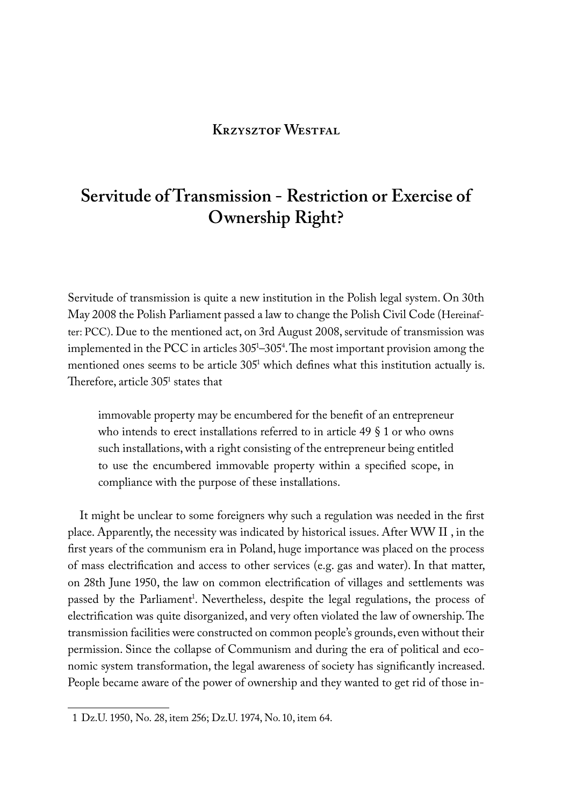## **Krzysztof Westfal**

# **Servitude of Transmission - Restriction or Exercise of Ownership Right?**

Servitude of transmission is quite a new institution in the Polish legal system. On 30th May 2008 the Polish Parliament passed a law to change the Polish Civil Code (Hereinafter: PCC). Due to the mentioned act, on 3rd August 2008, servitude of transmission was implemented in the PCC in articles 3051 –3054 . The most important provision among the mentioned ones seems to be article 3051 which defines what this institution actually is. Therefore, article  $305<sup>1</sup>$  states that

immovable property may be encumbered for the benefit of an entrepreneur who intends to erect installations referred to in article 49 § 1 or who owns such installations, with a right consisting of the entrepreneur being entitled to use the encumbered immovable property within a specified scope, in compliance with the purpose of these installations.

It might be unclear to some foreigners why such a regulation was needed in the first place. Apparently, the necessity was indicated by historical issues. After WW II , in the first years of the communism era in Poland, huge importance was placed on the process of mass electrification and access to other services (e.g. gas and water). In that matter, on 28th June 1950, the law on common electrification of villages and settlements was passed by the Parliament<sup>1</sup>. Nevertheless, despite the legal regulations, the process of electrification was quite disorganized, and very often violated the law of ownership. The transmission facilities were constructed on common people's grounds, even without their permission. Since the collapse of Communism and during the era of political and economic system transformation, the legal awareness of society has significantly increased. People became aware of the power of ownership and they wanted to get rid of those in-

<sup>1</sup> Dz.U. 1950, No. 28, item 256; Dz.U. 1974, No. 10, item 64.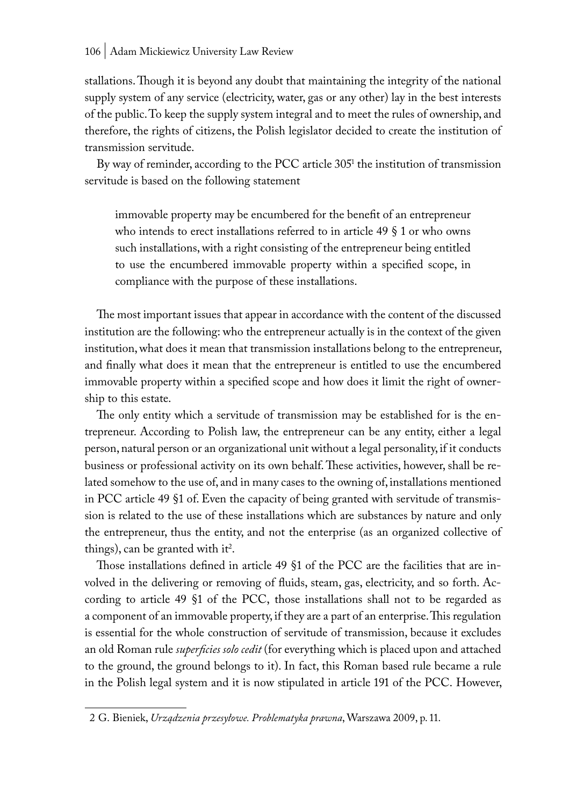stallations. Though it is beyond any doubt that maintaining the integrity of the national supply system of any service (electricity, water, gas or any other) lay in the best interests of the public. To keep the supply system integral and to meet the rules of ownership, and therefore, the rights of citizens, the Polish legislator decided to create the institution of transmission servitude.

By way of reminder, according to the PCC article 305<sup>1</sup> the institution of transmission servitude is based on the following statement

immovable property may be encumbered for the benefit of an entrepreneur who intends to erect installations referred to in article 49 § 1 or who owns such installations, with a right consisting of the entrepreneur being entitled to use the encumbered immovable property within a specified scope, in compliance with the purpose of these installations.

The most important issues that appear in accordance with the content of the discussed institution are the following: who the entrepreneur actually is in the context of the given institution, what does it mean that transmission installations belong to the entrepreneur, and finally what does it mean that the entrepreneur is entitled to use the encumbered immovable property within a specified scope and how does it limit the right of ownership to this estate.

The only entity which a servitude of transmission may be established for is the entrepreneur. According to Polish law, the entrepreneur can be any entity, either a legal person, natural person or an organizational unit without a legal personality, if it conducts business or professional activity on its own behalf. These activities, however, shall be related somehow to the use of, and in many cases to the owning of, installations mentioned in PCC article 49 §1 of. Even the capacity of being granted with servitude of transmission is related to the use of these installations which are substances by nature and only the entrepreneur, thus the entity, and not the enterprise (as an organized collective of things), can be granted with it<sup>2</sup>.

Those installations defined in article 49 §1 of the PCC are the facilities that are involved in the delivering or removing of fluids, steam, gas, electricity, and so forth. According to article 49 §1 of the PCC, those installations shall not to be regarded as a component of an immovable property, if they are a part of an enterprise. This regulation is essential for the whole construction of servitude of transmission, because it excludes an old Roman rule *superficies solo cedit* (for everything which is placed upon and attached to the ground, the ground belongs to it). In fact, this Roman based rule became a rule in the Polish legal system and it is now stipulated in article 191 of the PCC. However,

<sup>2</sup> G. Bieniek, *Urządzenia przesyłowe. Problematyka prawna*, Warszawa 2009, p. 11.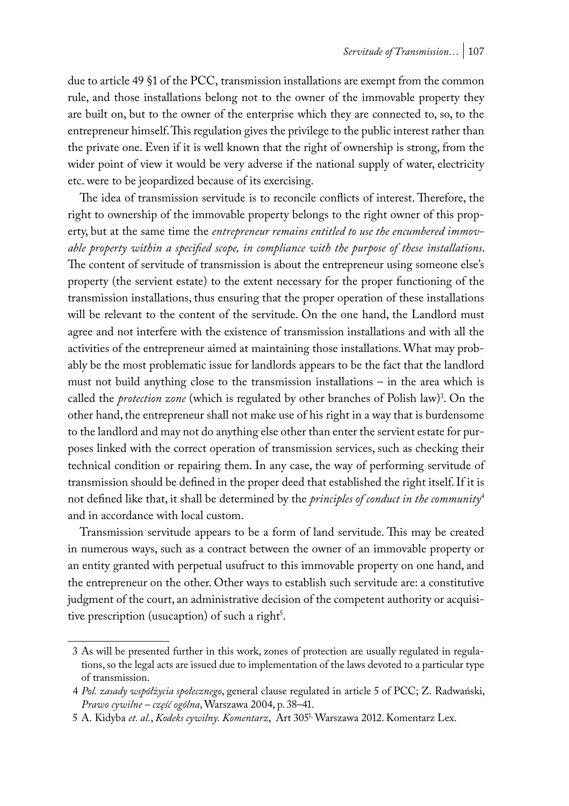due to article 49 §1 of the PCC, transmission installations are exempt from the common rule, and those installations belong not to the owner of the immovable property they are built on, but to the owner of the enterprise which they are connected to, so, to the entrepreneur himself. This regulation gives the privilege to the public interest rather than the private one. Even if it is well known that the right of ownership is strong, from the wider point of view it would be very adverse if the national supply of water, electricity etc. were to be jeopardized because of its exercising.

The idea of transmission servitude is to reconcile conflicts of interest. Therefore, the right to ownership of the immovable property belongs to the right owner of this property, but at the same time the *entrepreneur remains entitled to use the encumbered immovable property within a specified scope, in compliance with the purpose of these installations*. The content of servitude of transmission is about the entrepreneur using someone else's property (the servient estate) to the extent necessary for the proper functioning of the transmission installations, thus ensuring that the proper operation of these installations will be relevant to the content of the servitude. On the one hand, the Landlord must agree and not interfere with the existence of transmission installations and with all the activities of the entrepreneur aimed at maintaining those installations. What may probably be the most problematic issue for landlords appears to be the fact that the landlord must not build anything close to the transmission installations – in the area which is called the *protection zone* (which is regulated by other branches of Polish law)<sup>3</sup>. On the other hand, the entrepreneur shall not make use of his right in a way that is burdensome to the landlord and may not do anything else other than enter the servient estate for purposes linked with the correct operation of transmission services, such as checking their technical condition or repairing them. In any case, the way of performing servitude of transmission should be defined in the proper deed that established the right itself. If it is not defined like that, it shall be determined by the *principles of conduct in the community*<sup>4</sup> and in accordance with local custom.

Transmission servitude appears to be a form of land servitude. This may be created in numerous ways, such as a contract between the owner of an immovable property or an entity granted with perpetual usufruct to this immovable property on one hand, and the entrepreneur on the other. Other ways to establish such servitude are: a constitutive judgment of the court, an administrative decision of the competent authority or acquisitive prescription (usucaption) of such a right<sup>5</sup>.

<sup>3</sup> As will be presented further in this work, zones of protection are usually regulated in regulations, so the legal acts are issued due to implementation of the laws devoted to a particular type of transmission.

<sup>4</sup> *Pol. zasady współżycia społecznego*, general clause regulated in article 5 of PCC; Z. Radwański, *Prawo cywilne – część ogólna*, Warszawa 2004, p. 38–41.

<sup>5</sup> A. Kidyba *et. al.*, *Kodeks cywilny. Komentarz*, Art 3051, Warszawa 2012. Komentarz Lex.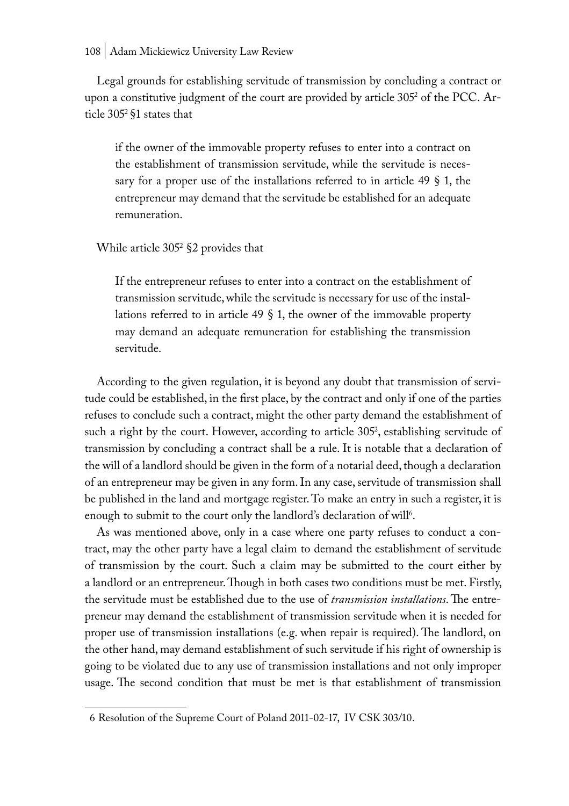Legal grounds for establishing servitude of transmission by concluding a contract or upon a constitutive judgment of the court are provided by article 3052 of the PCC. Article 3052 §1 states that

if the owner of the immovable property refuses to enter into a contract on the establishment of transmission servitude, while the servitude is necessary for a proper use of the installations referred to in article 49 § 1, the entrepreneur may demand that the servitude be established for an adequate remuneration.

## While article 3052 §2 provides that

If the entrepreneur refuses to enter into a contract on the establishment of transmission servitude, while the servitude is necessary for use of the installations referred to in article 49 § 1, the owner of the immovable property may demand an adequate remuneration for establishing the transmission servitude.

According to the given regulation, it is beyond any doubt that transmission of servitude could be established, in the first place, by the contract and only if one of the parties refuses to conclude such a contract, might the other party demand the establishment of such a right by the court. However, according to article 305<sup>2</sup>, establishing servitude of transmission by concluding a contract shall be a rule. It is notable that a declaration of the will of a landlord should be given in the form of a notarial deed, though a declaration of an entrepreneur may be given in any form. In any case, servitude of transmission shall be published in the land and mortgage register. To make an entry in such a register, it is enough to submit to the court only the landlord's declaration of will $^6$ .

As was mentioned above, only in a case where one party refuses to conduct a contract, may the other party have a legal claim to demand the establishment of servitude of transmission by the court. Such a claim may be submitted to the court either by a landlord or an entrepreneur. Though in both cases two conditions must be met. Firstly, the servitude must be established due to the use of *transmission installations*. The entrepreneur may demand the establishment of transmission servitude when it is needed for proper use of transmission installations (e.g. when repair is required). The landlord, on the other hand, may demand establishment of such servitude if his right of ownership is going to be violated due to any use of transmission installations and not only improper usage. The second condition that must be met is that establishment of transmission

<sup>6</sup> Resolution of the Supreme Court of Poland 2011-02-17, IV CSK 303/10.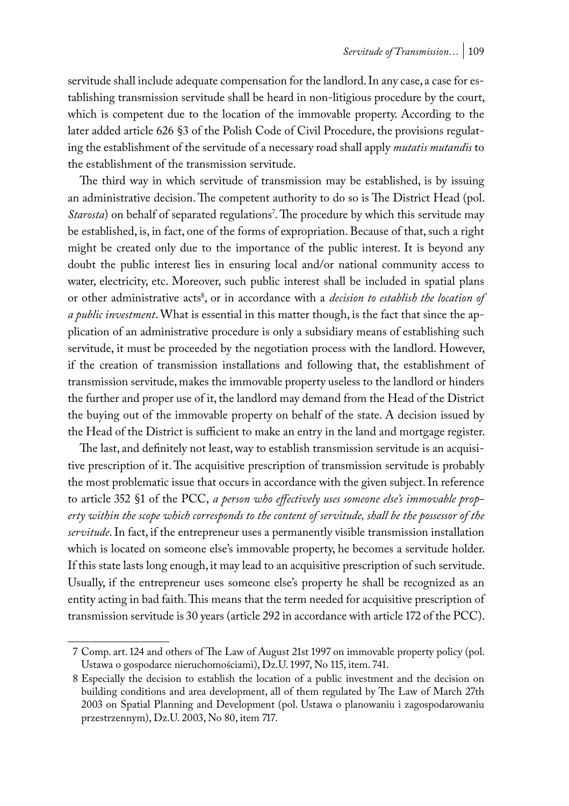servitude shall include adequate compensation for the landlord. In any case, a case for establishing transmission servitude shall be heard in non-litigious procedure by the court, which is competent due to the location of the immovable property. According to the later added article 626 §3 of the Polish Code of Civil Procedure, the provisions regulating the establishment of the servitude of a necessary road shall apply *mutatis mutandis* to the establishment of the transmission servitude.

The third way in which servitude of transmission may be established, is by issuing an administrative decision. The competent authority to do so is The District Head (pol. *Starosta*) on behalf of separated regulations<sup>7</sup>. The procedure by which this servitude may be established, is, in fact, one of the forms of expropriation. Because of that, such a right might be created only due to the importance of the public interest. It is beyond any doubt the public interest lies in ensuring local and/or national community access to water, electricity, etc. Moreover, such public interest shall be included in spatial plans or other administrative acts<sup>8</sup>, or in accordance with a *decision to establish the location of a public investment*. What is essential in this matter though, is the fact that since the application of an administrative procedure is only a subsidiary means of establishing such servitude, it must be proceeded by the negotiation process with the landlord. However, if the creation of transmission installations and following that, the establishment of transmission servitude, makes the immovable property useless to the landlord or hinders the further and proper use of it, the landlord may demand from the Head of the District the buying out of the immovable property on behalf of the state. A decision issued by the Head of the District is sufficient to make an entry in the land and mortgage register.

The last, and definitely not least, way to establish transmission servitude is an acquisitive prescription of it. The acquisitive prescription of transmission servitude is probably the most problematic issue that occurs in accordance with the given subject. In reference to article 352 §1 of the PCC, *a person who effectively uses someone else's immovable property within the scope which corresponds to the content of servitude, shall be the possessor of the servitude*. In fact, if the entrepreneur uses a permanently visible transmission installation which is located on someone else's immovable property, he becomes a servitude holder. If this state lasts long enough, it may lead to an acquisitive prescription of such servitude. Usually, if the entrepreneur uses someone else's property he shall be recognized as an entity acting in bad faith. This means that the term needed for acquisitive prescription of transmission servitude is 30 years (article 292 in accordance with article 172 of the PCC).

<sup>7</sup> Comp. art. 124 and others of The Law of August 21st 1997 on immovable property policy (pol. Ustawa o gospodarce nieruchomościami), Dz.U. 1997, No 115, item. 741.

<sup>8</sup> Especially the decision to establish the location of a public investment and the decision on building conditions and area development, all of them regulated by The Law of March 27th 2003 on Spatial Planning and Development (pol. Ustawa o planowaniu i zagospodarowaniu przestrzennym), Dz.U. 2003, No 80, item 717.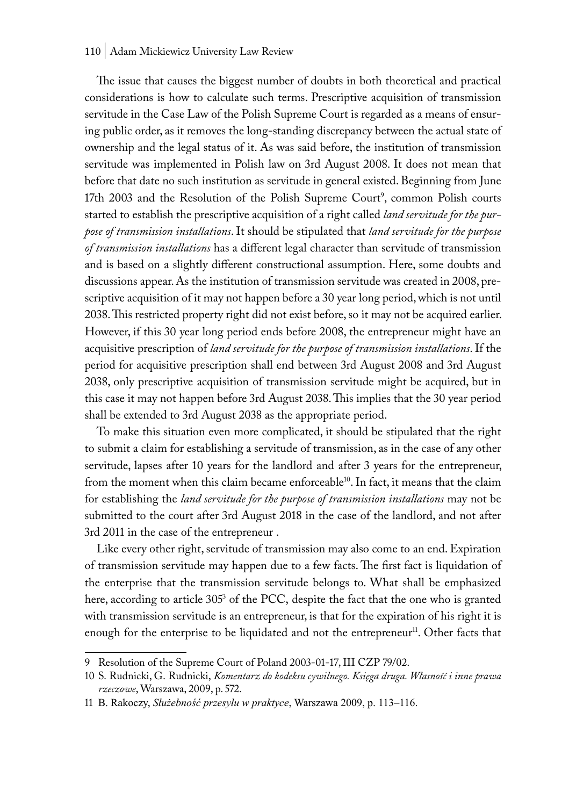#### 110 | Adam Mickiewicz University Law Review

The issue that causes the biggest number of doubts in both theoretical and practical considerations is how to calculate such terms. Prescriptive acquisition of transmission servitude in the Case Law of the Polish Supreme Court is regarded as a means of ensuring public order, as it removes the long-standing discrepancy between the actual state of ownership and the legal status of it. As was said before, the institution of transmission servitude was implemented in Polish law on 3rd August 2008. It does not mean that before that date no such institution as servitude in general existed. Beginning from June 17th 2003 and the Resolution of the Polish Supreme Court<sup>9</sup>, common Polish courts started to establish the prescriptive acquisition of a right called *land servitude for the purpose of transmission installations*. It should be stipulated that *land servitude for the purpose of transmission installations* has a different legal character than servitude of transmission and is based on a slightly different constructional assumption. Here, some doubts and discussions appear. As the institution of transmission servitude was created in 2008, prescriptive acquisition of it may not happen before a 30 year long period, which is not until 2038. This restricted property right did not exist before, so it may not be acquired earlier. However, if this 30 year long period ends before 2008, the entrepreneur might have an acquisitive prescription of *land servitude for the purpose of transmission installations*. If the period for acquisitive prescription shall end between 3rd August 2008 and 3rd August 2038, only prescriptive acquisition of transmission servitude might be acquired, but in this case it may not happen before 3rd August 2038. This implies that the 30 year period shall be extended to 3rd August 2038 as the appropriate period.

To make this situation even more complicated, it should be stipulated that the right to submit a claim for establishing a servitude of transmission, as in the case of any other servitude, lapses after 10 years for the landlord and after 3 years for the entrepreneur, from the moment when this claim became enforceable<sup>10</sup>. In fact, it means that the claim for establishing the *land servitude for the purpose of transmission installations* may not be submitted to the court after 3rd August 2018 in the case of the landlord, and not after 3rd 2011 in the case of the entrepreneur .

Like every other right, servitude of transmission may also come to an end. Expiration of transmission servitude may happen due to a few facts. The first fact is liquidation of the enterprise that the transmission servitude belongs to. What shall be emphasized here, according to article 305<sup>3</sup> of the PCC, despite the fact that the one who is granted with transmission servitude is an entrepreneur, is that for the expiration of his right it is enough for the enterprise to be liquidated and not the entrepreneur<sup>11</sup>. Other facts that

<sup>9</sup> Resolution of the Supreme Court of Poland 2003-01-17, III CZP 79/02.

<sup>10</sup> S. Rudnicki, G. Rudnicki, *Komentarz do kodeksu cywilnego. Księga druga. Własność i inne prawa rzeczowe*, Warszawa, 2009, p. 572.

<sup>11</sup> B. Rakoczy, *Służebność przesyłu w praktyce*, Warszawa 2009, p. 113–116.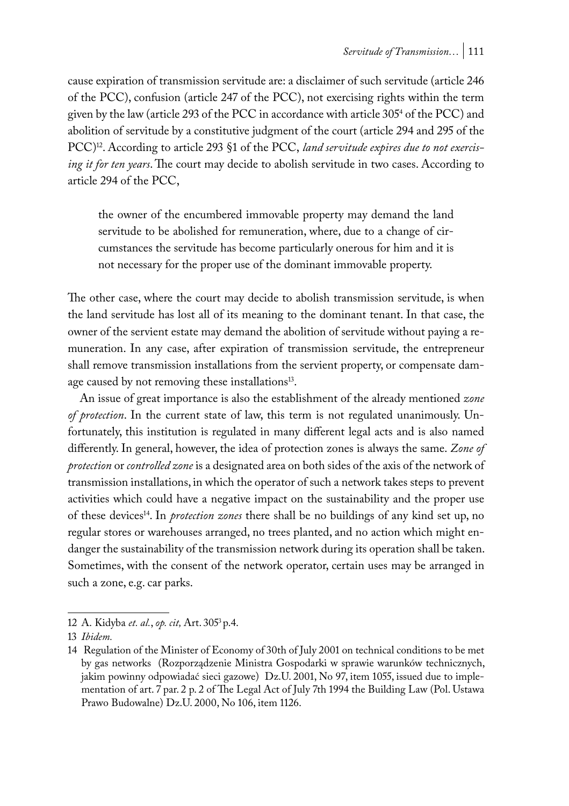cause expiration of transmission servitude are: a disclaimer of such servitude (article 246 of the PCC), confusion (article 247 of the PCC), not exercising rights within the term given by the law (article 293 of the PCC in accordance with article 3054 of the PCC) and abolition of servitude by a constitutive judgment of the court (article 294 and 295 of the PCC)<sup>12</sup>. According to article 293 §1 of the PCC, *land servitude expires due to not exercis ing it for ten years*. The court may decide to abolish servitude in two cases. According to article 294 of the PCC,

the owner of the encumbered immovable property may demand the land servitude to be abolished for remuneration, where, due to a change of circumstances the servitude has become particularly onerous for him and it is not necessary for the proper use of the dominant immovable property.

The other case, where the court may decide to abolish transmission servitude, is when the land servitude has lost all of its meaning to the dominant tenant. In that case, the owner of the servient estate may demand the abolition of servitude without paying a remuneration. In any case, after expiration of transmission servitude, the entrepreneur shall remove transmission installations from the servient property, or compensate damage caused by not removing these installations<sup>13</sup>.

An issue of great importance is also the establishment of the already mentioned *zone of protection*. In the current state of law, this term is not regulated unanimously. Unfortunately, this institution is regulated in many different legal acts and is also named differently. In general, however, the idea of protection zones is always the same. *Zone of protection* or *controlled zone* is a designated area on both sides of the axis of the network of transmission installations, in which the operator of such a network takes steps to prevent activities which could have a negative impact on the sustainability and the proper use of these devices14. In *protection zones* there shall be no buildings of any kind set up, no regular stores or warehouses arranged, no trees planted, and no action which might endanger the sustainability of the transmission network during its operation shall be taken. Sometimes, with the consent of the network operator, certain uses may be arranged in such a zone, e.g. car parks.

<sup>12</sup> A. Kidyba *et. al.*, *op. cit,* Art. 3053 p.4.

<sup>13</sup> *Ibidem.*

<sup>14</sup> Regulation of the Minister of Economy of 30th of July 2001 on technical conditions to be met by gas networks (Rozporządzenie Ministra Gospodarki w sprawie warunków technicznych, jakim powinny odpowiadać sieci gazowe) Dz.U. 2001, No 97, item 1055, issued due to implementation of art. 7 par. 2 p. 2 of The Legal Act of July 7th 1994 the Building Law (Pol. Ustawa Prawo Budowalne) Dz.U. 2000, No 106, item 1126.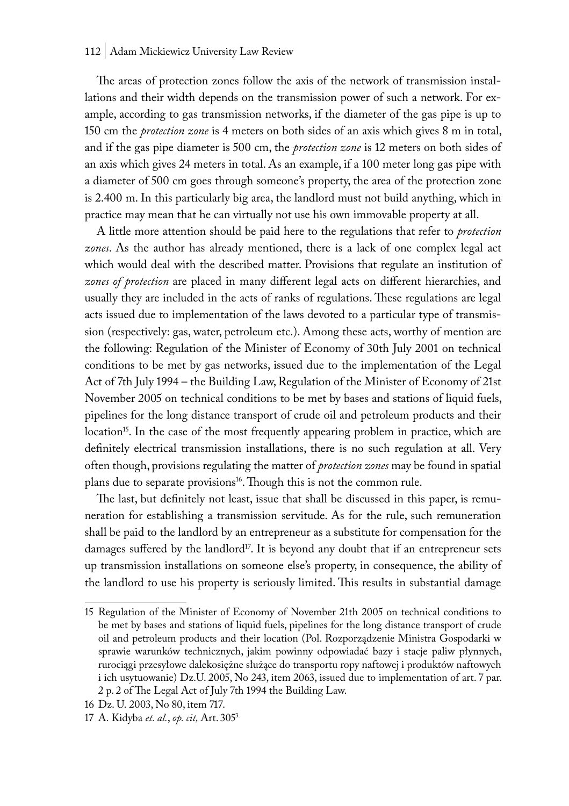#### 112 | Adam Mickiewicz University Law Review

The areas of protection zones follow the axis of the network of transmission installations and their width depends on the transmission power of such a network. For example, according to gas transmission networks, if the diameter of the gas pipe is up to 150 cm the *protection zone* is 4 meters on both sides of an axis which gives 8 m in total, and if the gas pipe diameter is 500 cm, the *protection zone* is 12 meters on both sides of an axis which gives 24 meters in total. As an example, if a 100 meter long gas pipe with a diameter of 500 cm goes through someone's property, the area of the protection zone is 2.400 m. In this particularly big area, the landlord must not build anything, which in practice may mean that he can virtually not use his own immovable property at all.

A little more attention should be paid here to the regulations that refer to *protection zones*. As the author has already mentioned, there is a lack of one complex legal act which would deal with the described matter. Provisions that regulate an institution of *zones of protection* are placed in many different legal acts on different hierarchies, and usually they are included in the acts of ranks of regulations. These regulations are legal acts issued due to implementation of the laws devoted to a particular type of transmission (respectively: gas, water, petroleum etc.). Among these acts, worthy of mention are the following: Regulation of the Minister of Economy of 30th July 2001 on technical conditions to be met by gas networks, issued due to the implementation of the Legal Act of 7th July 1994 – the Building Law, Regulation of the Minister of Economy of 21st November 2005 on technical conditions to be met by bases and stations of liquid fuels, pipelines for the long distance transport of crude oil and petroleum products and their location<sup>15</sup>. In the case of the most frequently appearing problem in practice, which are definitely electrical transmission installations, there is no such regulation at all. Very often though, provisions regulating the matter of *protection zones* may be found in spatial plans due to separate provisions<sup>16</sup>. Though this is not the common rule.

The last, but definitely not least, issue that shall be discussed in this paper, is remuneration for establishing a transmission servitude. As for the rule, such remuneration shall be paid to the landlord by an entrepreneur as a substitute for compensation for the damages suffered by the landlord<sup>17</sup>. It is beyond any doubt that if an entrepreneur sets up transmission installations on someone else's property, in consequence, the ability of the landlord to use his property is seriously limited. This results in substantial damage

<sup>15</sup> Regulation of the Minister of Economy of November 21th 2005 on technical conditions to be met by bases and stations of liquid fuels, pipelines for the long distance transport of crude oil and petroleum products and their location (Pol. Rozporządzenie Ministra Gospodarki w sprawie warunków technicznych, jakim powinny odpowiadać bazy i stacje paliw płynnych, rurociągi przesyłowe dalekosiężne służące do transportu ropy naftowej i produktów naftowych i ich usytuowanie) Dz.U. 2005, No 243, item 2063, issued due to implementation of art. 7 par. 2 p. 2 of The Legal Act of July 7th 1994 the Building Law.

<sup>16</sup> Dz. U. 2003, No 80, item 717.

<sup>17</sup> A. Kidyba *et. al.*, *op. cit,* Art. 3053.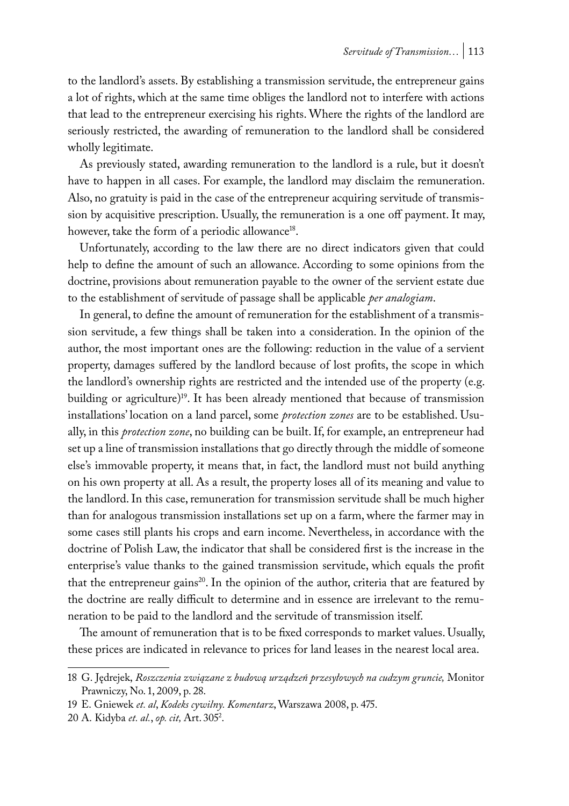to the landlord's assets. By establishing a transmission servitude, the entrepreneur gains a lot of rights, which at the same time obliges the landlord not to interfere with actions that lead to the entrepreneur exercising his rights. Where the rights of the landlord are seriously restricted, the awarding of remuneration to the landlord shall be considered wholly legitimate.

As previously stated, awarding remuneration to the landlord is a rule, but it doesn't have to happen in all cases. For example, the landlord may disclaim the remuneration. Also, no gratuity is paid in the case of the entrepreneur acquiring servitude of transmission by acquisitive prescription. Usually, the remuneration is a one off payment. It may, however, take the form of a periodic allowance<sup>18</sup>.

Unfortunately, according to the law there are no direct indicators given that could help to define the amount of such an allowance. According to some opinions from the doctrine, provisions about remuneration payable to the owner of the servient estate due to the establishment of servitude of passage shall be applicable *per analogiam*.

In general, to define the amount of remuneration for the establishment of a transmission servitude, a few things shall be taken into a consideration. In the opinion of the author, the most important ones are the following: reduction in the value of a servient property, damages suffered by the landlord because of lost profits, the scope in which the landlord's ownership rights are restricted and the intended use of the property (e.g. building or agriculture)<sup>19</sup>. It has been already mentioned that because of transmission installations' location on a land parcel, some *protection zones* are to be established. Usually, in this *protection zone*, no building can be built. If, for example, an entrepreneur had set up a line of transmission installations that go directly through the middle of someone else's immovable property, it means that, in fact, the landlord must not build anything on his own property at all. As a result, the property loses all of its meaning and value to the landlord. In this case, remuneration for transmission servitude shall be much higher than for analogous transmission installations set up on a farm, where the farmer may in some cases still plants his crops and earn income. Nevertheless, in accordance with the doctrine of Polish Law, the indicator that shall be considered first is the increase in the enterprise's value thanks to the gained transmission servitude, which equals the profit that the entrepreneur gains<sup>20</sup>. In the opinion of the author, criteria that are featured by the doctrine are really difficult to determine and in essence are irrelevant to the remuneration to be paid to the landlord and the servitude of transmission itself.

The amount of remuneration that is to be fixed corresponds to market values. Usually, these prices are indicated in relevance to prices for land leases in the nearest local area.

<sup>18</sup> G. Jędrejek, *Roszczenia związane z budową urządzeń przesyłowych na cudzym gruncie,* Monitor Prawniczy, No. 1, 2009, p. 28.

<sup>19</sup> E. Gniewek *et. al*, *Kodeks cywilny. Komentarz*, Warszawa 2008, p. 475.

<sup>20</sup> A. Kidyba *et. al.*, *op. cit,* Art. 3052 .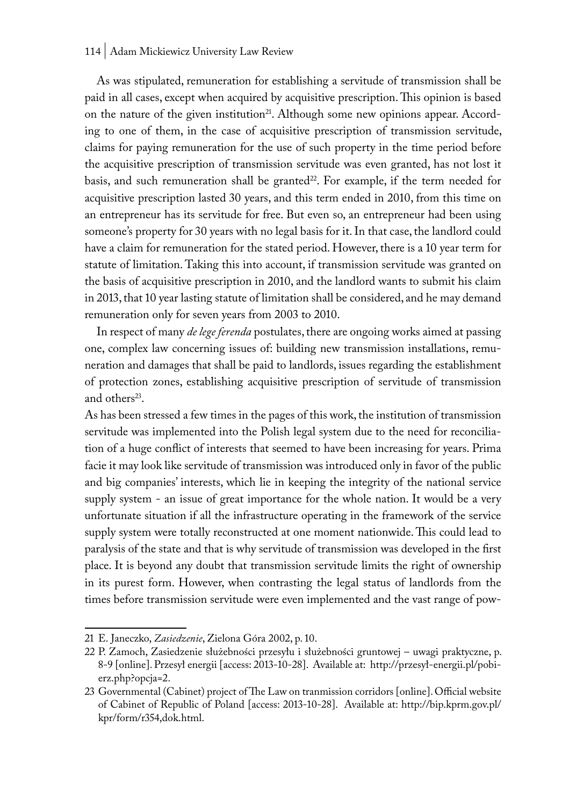#### 114 | Adam Mickiewicz University Law Review

As was stipulated, remuneration for establishing a servitude of transmission shall be paid in all cases, except when acquired by acquisitive prescription. This opinion is based on the nature of the given institution<sup>21</sup>. Although some new opinions appear. According to one of them, in the case of acquisitive prescription of transmission servitude, claims for paying remuneration for the use of such property in the time period before the acquisitive prescription of transmission servitude was even granted, has not lost it basis, and such remuneration shall be granted $22$ . For example, if the term needed for acquisitive prescription lasted 30 years, and this term ended in 2010, from this time on an entrepreneur has its servitude for free. But even so, an entrepreneur had been using someone's property for 30 years with no legal basis for it. In that case, the landlord could have a claim for remuneration for the stated period. However, there is a 10 year term for statute of limitation. Taking this into account, if transmission servitude was granted on the basis of acquisitive prescription in 2010, and the landlord wants to submit his claim in 2013, that 10 year lasting statute of limitation shall be considered, and he may demand remuneration only for seven years from 2003 to 2010.

In respect of many *de lege ferenda* postulates, there are ongoing works aimed at passing one, complex law concerning issues of: building new transmission installations, remuneration and damages that shall be paid to landlords, issues regarding the establishment of protection zones, establishing acquisitive prescription of servitude of transmission and others<sup>23</sup>.

As has been stressed a few times in the pages of this work, the institution of transmission servitude was implemented into the Polish legal system due to the need for reconciliation of a huge conflict of interests that seemed to have been increasing for years. Prima facie it may look like servitude of transmission was introduced only in favor of the public and big companies' interests, which lie in keeping the integrity of the national service supply system - an issue of great importance for the whole nation. It would be a very unfortunate situation if all the infrastructure operating in the framework of the service supply system were totally reconstructed at one moment nationwide. This could lead to paralysis of the state and that is why servitude of transmission was developed in the first place. It is beyond any doubt that transmission servitude limits the right of ownership in its purest form. However, when contrasting the legal status of landlords from the times before transmission servitude were even implemented and the vast range of pow-

<sup>21</sup> E. Janeczko, *Zasiedzenie*, Zielona Góra 2002, p. 10.

<sup>22</sup> P. Zamoch, Zasiedzenie służebności przesyłu i służebności gruntowej – uwagi praktyczne, p. 8-9 [online]. Przesył energii [access: 2013-10-28]. Available at: http://przesył-energii.pl/pobierz.php?opcja=2.

<sup>23</sup> Governmental (Cabinet) project of The Law on tranmission corridors [online]. Official website of Cabinet of Republic of Poland [access: 2013-10-28]. Available at: http://bip.kprm.gov.pl/ kpr/form/r354,dok.html.